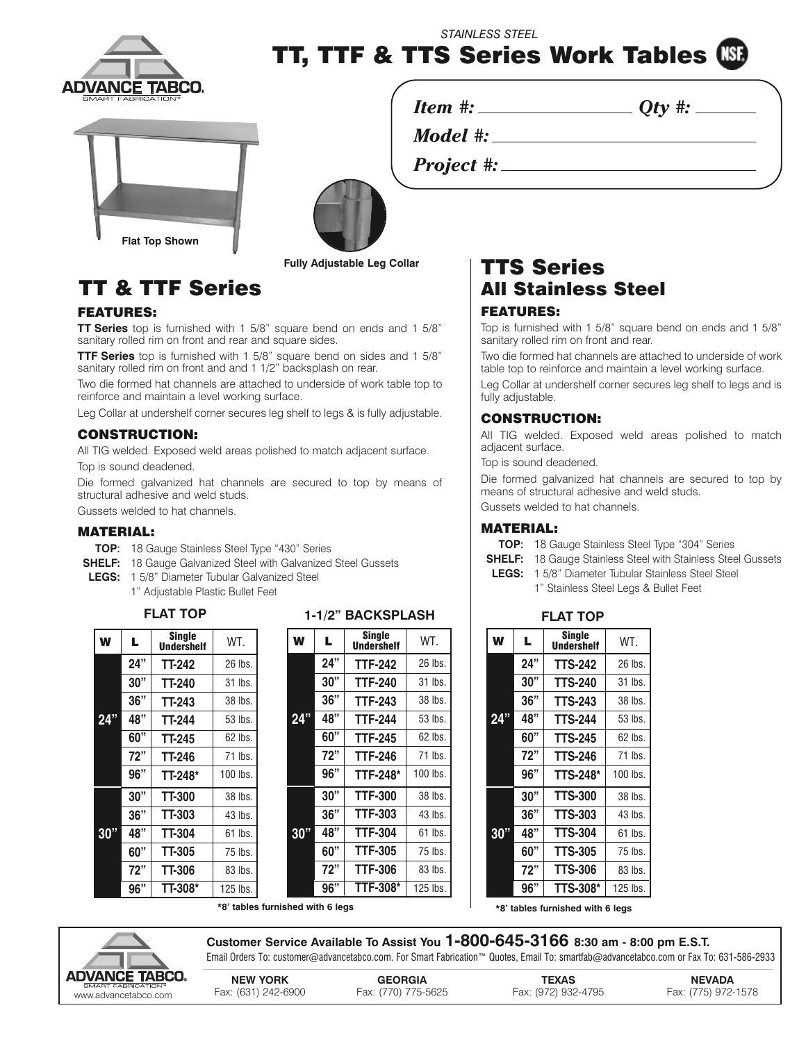

*STAINLESS STEEL*

**TT, TTF & TTS Series Work Tables**

*Model #:*

*Project #:*







**Fully Adjustable Leg Collar**

# **FEATURES:**

**TT Series** top is furnished with 1 5/8" square bend on ends and 1 5/8" sanitary rolled rim on front and rear and square sides.

**TTF Series** top is furnished with 1 5/8" square bend on sides and 1 5/8" sanitary rolled rim on front and and 1 1/2" backsplash on rear.

Two die formed hat channels are attached to underside of work table top to reinforce and maintain a level working surface.

Leg Collar at undershelf corner secures leg shelf to legs & is fully adjustable.

# **CONSTRUCTION:**

All TIG welded. Exposed weld areas polished to match adjacent surface. Top is sound deadened.

Die formed galvanized hat channels are secured to top by means of structural adhesive and weld studs.

Gussets welded to hat channels.

## **MATERIAL:**

- **TOP**: 18 Gauge Stainless Steel Type "430" Series
- **SHELF:** 18 Gauge Galvanized Steel with Galvanized Steel Gussets
- **LEGS:** 1 5/8" Diameter Tubular Galvanized Steel 1" Adjustable Plastic Bullet Feet

| W   | L   | <b>Single</b><br><b>Undershelf</b> | WT.        |
|-----|-----|------------------------------------|------------|
|     | 24" | TT-242                             | 26 lbs.    |
|     | 30" | TT-240                             | 31 lbs.    |
|     | 36" | TT-243                             | 38 lbs.    |
| 24" | 48" | TT-244                             | 53 lbs.    |
|     | 60" | TT-245                             | 62 lbs.    |
|     | 72" | TT-246                             | 71 lbs.    |
|     | 96" | TT-248*                            | 100 lbs.   |
| 30" | 30" | <b>TT-300</b>                      | 38 lbs.    |
|     | 36" | TT-303                             | 43 lbs.    |
|     | 48" | TT-304                             | $61$ lbs.  |
|     | 60" | <b>TT-305</b>                      | 75 lbs.    |
|     | 72" | TT-306                             | 83 lbs.    |
|     | 96" | <b>TT-308*</b>                     | $125$ lbs. |

# **FLAT TOP FLAT TOP 1-1/2" BACKSPLASH**

| W   | L   | Single<br><b>Undershelf</b> | WT.        |
|-----|-----|-----------------------------|------------|
|     | 24" | TTF-242                     | 26 lbs.    |
|     | 30" | <b>TTF-240</b>              | 31 lbs.    |
|     | 36" | <b>TTF-243</b>              | 38 lbs.    |
| 24" | 48" | <b>TTF-244</b>              | 53 lbs.    |
|     | 60" | <b>TTF-245</b>              | 62 lbs.    |
|     | 72" | <b>TTF-246</b>              | 71 lbs.    |
|     | 96" | <b>TTF-248*</b>             | $100$ lbs. |
|     | 30" | <b>TTF-300</b>              | 38 lbs.    |
|     | 36" | <b>TTF-303</b>              | 43 lbs.    |
| 30" | 48" | <b>TTF-304</b>              | $61$ lbs.  |
|     | 60" | <b>TTF-305</b>              | 75 lbs.    |
|     | 72" | <b>TTF-306</b>              | 83 lbs.    |
|     | 96" | <b>TTF-308*</b>             | $125$ lbs. |

# **TTS Series TT & TTF Series All Stainless Steel**

*Item #: Qty #:*

# **FEATURES:**

Top is furnished with 1 5/8" square bend on ends and 1 5/8" sanitary rolled rim on front and rear.

Two die formed hat channels are attached to underside of work table top to reinforce and maintain a level working surface.

Leg Collar at undershelf corner secures leg shelf to legs and is fully adjustable.

# **CONSTRUCTION:**

All TIG welded. Exposed weld areas polished to match adjacent surface.

Top is sound deadened.

Die formed galvanized hat channels are secured to top by means of structural adhesive and weld studs.

Gussets welded to hat channels.

## **MATERIAL:**

**TOP**: 18 Gauge Stainless Steel Type "304" Series

- **SHELF:** 18 Gauge Stainless Steel with Stainless Steel Gussets
- **LEGS:** 1 5/8" Diameter Tubular Stainless Steel Steel 1" Stainless Steel Legs & Bullet Feet

| W   | L   | <b>Single</b><br><b>Undershelf</b> | WT.        |
|-----|-----|------------------------------------|------------|
| 24" | 24" | <b>TTS-242</b>                     | 26 lbs.    |
|     | 30" | <b>TTS-240</b>                     | 31 lbs.    |
|     | 36" | <b>TTS-243</b>                     | 38 lbs.    |
|     | 48" | <b>TTS-244</b>                     | 53 lbs.    |
|     | 60" | <b>TTS-245</b>                     | $62$ lbs.  |
|     | 72" | <b>TTS-246</b>                     | 71 lbs.    |
|     | 96" | <b>TTS-248*</b>                    | 100 lbs.   |
|     | 30" | <b>TTS-300</b>                     | 38 lbs.    |
| 30" | 36" | <b>TTS-303</b>                     | 43 lbs.    |
|     | 48" | <b>TTS-304</b>                     | 61<br>lbs. |
|     | 60" | <b>TTS-305</b>                     | 75 lbs.    |
|     | 72" | <b>TTS-306</b>                     | 83 lbs.    |
|     | 96" | <b>TTS-308*</b>                    | $125$ lbs. |

**\*8' tables furnished with 6 legs**

**\*8' tables furnished with 6 legs**



**Customer Service Available To Assist You 1-800-645-3166 8:30 am - 8:00 pm E.S.T.** Email Orders To: customer@advancetabco.com. For Smart Fabrication™ Quotes, Email To: smartfab@advancetabco.com or Fax To: 631-586-2933

**NEW YORK GEORGIA TEXAS NEVADA** www.advante-abducation" - Fax: (631) 242-6900 Fax: (770) 775-5625 Fax: (972) 932-4795 Fax: (775) 972-1578 .<br>www.advancetabco.com Fax: (631) 242-6900 Fax: (770) 775-5625 Fax: (972) 932-4795 Fax: (775) 972-1578